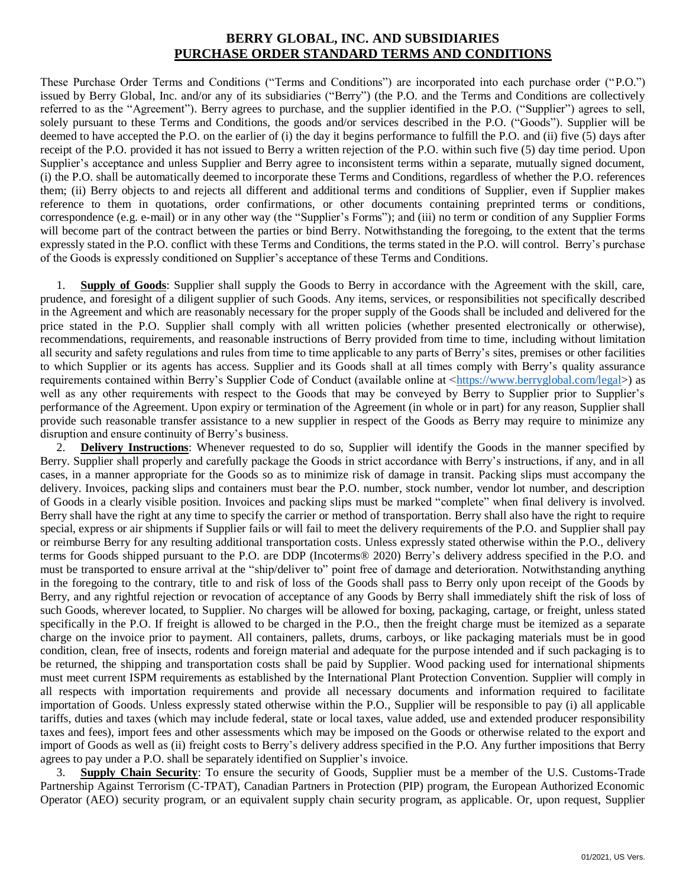## **BERRY GLOBAL, INC. AND SUBSIDIARIES PURCHASE ORDER STANDARD TERMS AND CONDITIONS**

These Purchase Order Terms and Conditions ("Terms and Conditions") are incorporated into each purchase order ("P.O.") issued by Berry Global, Inc. and/or any of its subsidiaries ("Berry") (the P.O. and the Terms and Conditions are collectively referred to as the "Agreement"). Berry agrees to purchase, and the supplier identified in the P.O. ("Supplier") agrees to sell, solely pursuant to these Terms and Conditions, the goods and/or services described in the P.O. ("Goods"). Supplier will be deemed to have accepted the P.O. on the earlier of (i) the day it begins performance to fulfill the P.O. and (ii) five (5) days after receipt of the P.O. provided it has not issued to Berry a written rejection of the P.O. within such five (5) day time period. Upon Supplier's acceptance and unless Supplier and Berry agree to inconsistent terms within a separate, mutually signed document, (i) the P.O. shall be automatically deemed to incorporate these Terms and Conditions, regardless of whether the P.O. references them; (ii) Berry objects to and rejects all different and additional terms and conditions of Supplier, even if Supplier makes reference to them in quotations, order confirmations, or other documents containing preprinted terms or conditions, correspondence (e.g. e-mail) or in any other way (the "Supplier's Forms"); and (iii) no term or condition of any Supplier Forms will become part of the contract between the parties or bind Berry. Notwithstanding the foregoing, to the extent that the terms expressly stated in the P.O. conflict with these Terms and Conditions, the terms stated in the P.O. will control. Berry's purchase of the Goods is expressly conditioned on Supplier's acceptance of these Terms and Conditions.

1. **Supply of Goods**: Supplier shall supply the Goods to Berry in accordance with the Agreement with the skill, care, prudence, and foresight of a diligent supplier of such Goods. Any items, services, or responsibilities not specifically described in the Agreement and which are reasonably necessary for the proper supply of the Goods shall be included and delivered for the price stated in the P.O. Supplier shall comply with all written policies (whether presented electronically or otherwise), recommendations, requirements, and reasonable instructions of Berry provided from time to time, including without limitation all security and safety regulations and rules from time to time applicable to any parts of Berry's sites, premises or other facilities to which Supplier or its agents has access. Supplier and its Goods shall at all times comply with Berry's quality assurance requirements contained within Berry's Supplier Code of Conduct (available online at [<https://www.berryglobal.com/legal>](https://www.berryglobal.com/legal)) as well as any other requirements with respect to the Goods that may be conveyed by Berry to Supplier prior to Supplier's performance of the Agreement. Upon expiry or termination of the Agreement (in whole or in part) for any reason, Supplier shall provide such reasonable transfer assistance to a new supplier in respect of the Goods as Berry may require to minimize any disruption and ensure continuity of Berry's business.

2. **Delivery Instructions**: Whenever requested to do so, Supplier will identify the Goods in the manner specified by Berry. Supplier shall properly and carefully package the Goods in strict accordance with Berry's instructions, if any, and in all cases, in a manner appropriate for the Goods so as to minimize risk of damage in transit. Packing slips must accompany the delivery. Invoices, packing slips and containers must bear the P.O. number, stock number, vendor lot number, and description of Goods in a clearly visible position. Invoices and packing slips must be marked "complete" when final delivery is involved. Berry shall have the right at any time to specify the carrier or method of transportation. Berry shall also have the right to require special, express or air shipments if Supplier fails or will fail to meet the delivery requirements of the P.O. and Supplier shall pay or reimburse Berry for any resulting additional transportation costs. Unless expressly stated otherwise within the P.O., delivery terms for Goods shipped pursuant to the P.O. are DDP (Incoterms® 2020) Berry's delivery address specified in the P.O. and must be transported to ensure arrival at the "ship/deliver to" point free of damage and deterioration. Notwithstanding anything in the foregoing to the contrary, title to and risk of loss of the Goods shall pass to Berry only upon receipt of the Goods by Berry, and any rightful rejection or revocation of acceptance of any Goods by Berry shall immediately shift the risk of loss of such Goods, wherever located, to Supplier. No charges will be allowed for boxing, packaging, cartage, or freight, unless stated specifically in the P.O. If freight is allowed to be charged in the P.O., then the freight charge must be itemized as a separate charge on the invoice prior to payment. All containers, pallets, drums, carboys, or like packaging materials must be in good condition, clean, free of insects, rodents and foreign material and adequate for the purpose intended and if such packaging is to be returned, the shipping and transportation costs shall be paid by Supplier. Wood packing used for international shipments must meet current ISPM requirements as established by the International Plant Protection Convention. Supplier will comply in all respects with importation requirements and provide all necessary documents and information required to facilitate importation of Goods. Unless expressly stated otherwise within the P.O., Supplier will be responsible to pay (i) all applicable tariffs, duties and taxes (which may include federal, state or local taxes, value added, use and extended producer responsibility taxes and fees), import fees and other assessments which may be imposed on the Goods or otherwise related to the export and import of Goods as well as (ii) freight costs to Berry's delivery address specified in the P.O. Any further impositions that Berry agrees to pay under a P.O. shall be separately identified on Supplier's invoice.

3. **Supply Chain Security**: To ensure the security of Goods, Supplier must be a member of the U.S. Customs-Trade Partnership Against Terrorism (C-TPAT), Canadian Partners in Protection (PIP) program, the European Authorized Economic Operator (AEO) security program, or an equivalent supply chain security program, as applicable. Or, upon request, Supplier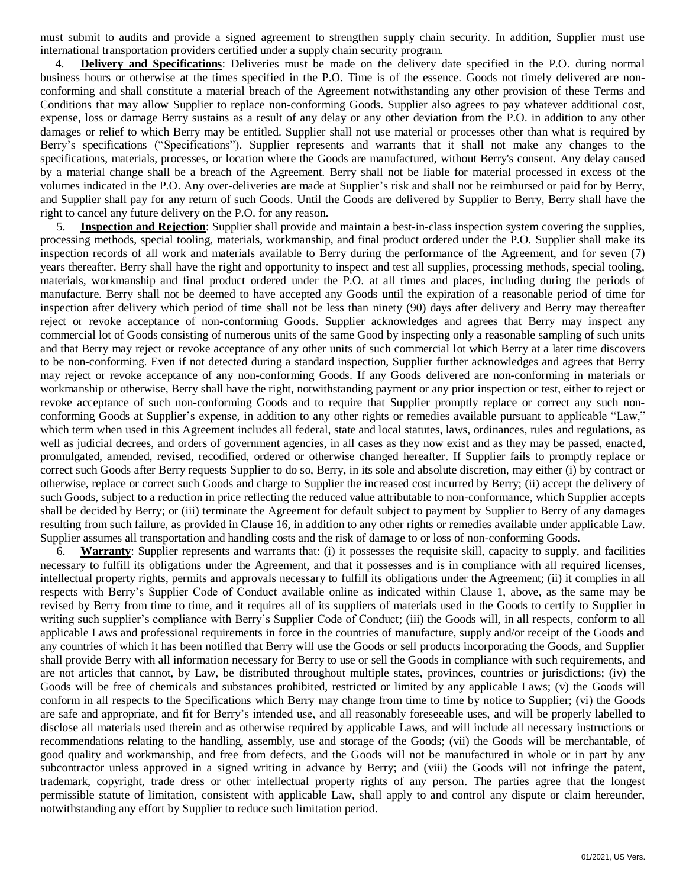must submit to audits and provide a signed agreement to strengthen supply chain security. In addition, Supplier must use international transportation providers certified under a supply chain security program.

4. **Delivery and Specifications**: Deliveries must be made on the delivery date specified in the P.O. during normal business hours or otherwise at the times specified in the P.O. Time is of the essence. Goods not timely delivered are nonconforming and shall constitute a material breach of the Agreement notwithstanding any other provision of these Terms and Conditions that may allow Supplier to replace non-conforming Goods. Supplier also agrees to pay whatever additional cost, expense, loss or damage Berry sustains as a result of any delay or any other deviation from the P.O. in addition to any other damages or relief to which Berry may be entitled. Supplier shall not use material or processes other than what is required by Berry's specifications ("Specifications"). Supplier represents and warrants that it shall not make any changes to the specifications, materials, processes, or location where the Goods are manufactured, without Berry's consent. Any delay caused by a material change shall be a breach of the Agreement. Berry shall not be liable for material processed in excess of the volumes indicated in the P.O. Any over-deliveries are made at Supplier's risk and shall not be reimbursed or paid for by Berry, and Supplier shall pay for any return of such Goods. Until the Goods are delivered by Supplier to Berry, Berry shall have the right to cancel any future delivery on the P.O. for any reason.

5. **Inspection and Rejection**: Supplier shall provide and maintain a best-in-class inspection system covering the supplies, processing methods, special tooling, materials, workmanship, and final product ordered under the P.O. Supplier shall make its inspection records of all work and materials available to Berry during the performance of the Agreement, and for seven (7) years thereafter. Berry shall have the right and opportunity to inspect and test all supplies, processing methods, special tooling, materials, workmanship and final product ordered under the P.O. at all times and places, including during the periods of manufacture. Berry shall not be deemed to have accepted any Goods until the expiration of a reasonable period of time for inspection after delivery which period of time shall not be less than ninety (90) days after delivery and Berry may thereafter reject or revoke acceptance of non-conforming Goods. Supplier acknowledges and agrees that Berry may inspect any commercial lot of Goods consisting of numerous units of the same Good by inspecting only a reasonable sampling of such units and that Berry may reject or revoke acceptance of any other units of such commercial lot which Berry at a later time discovers to be non-conforming. Even if not detected during a standard inspection, Supplier further acknowledges and agrees that Berry may reject or revoke acceptance of any non-conforming Goods. If any Goods delivered are non-conforming in materials or workmanship or otherwise, Berry shall have the right, notwithstanding payment or any prior inspection or test, either to reject or revoke acceptance of such non-conforming Goods and to require that Supplier promptly replace or correct any such nonconforming Goods at Supplier's expense, in addition to any other rights or remedies available pursuant to applicable "Law," which term when used in this Agreement includes all federal, state and local statutes, laws, ordinances, rules and regulations, as well as judicial decrees, and orders of government agencies, in all cases as they now exist and as they may be passed, enacted, promulgated, amended, revised, recodified, ordered or otherwise changed hereafter. If Supplier fails to promptly replace or correct such Goods after Berry requests Supplier to do so, Berry, in its sole and absolute discretion, may either (i) by contract or otherwise, replace or correct such Goods and charge to Supplier the increased cost incurred by Berry; (ii) accept the delivery of such Goods, subject to a reduction in price reflecting the reduced value attributable to non-conformance, which Supplier accepts shall be decided by Berry; or (iii) terminate the Agreement for default subject to payment by Supplier to Berry of any damages resulting from such failure, as provided in Clause 16, in addition to any other rights or remedies available under applicable Law. Supplier assumes all transportation and handling costs and the risk of damage to or loss of non-conforming Goods.

6. **Warranty**: Supplier represents and warrants that: (i) it possesses the requisite skill, capacity to supply, and facilities necessary to fulfill its obligations under the Agreement, and that it possesses and is in compliance with all required licenses, intellectual property rights, permits and approvals necessary to fulfill its obligations under the Agreement; (ii) it complies in all respects with Berry's Supplier Code of Conduct available online as indicated within Clause 1, above, as the same may be revised by Berry from time to time, and it requires all of its suppliers of materials used in the Goods to certify to Supplier in writing such supplier's compliance with Berry's Supplier Code of Conduct; (iii) the Goods will, in all respects, conform to all applicable Laws and professional requirements in force in the countries of manufacture, supply and/or receipt of the Goods and any countries of which it has been notified that Berry will use the Goods or sell products incorporating the Goods, and Supplier shall provide Berry with all information necessary for Berry to use or sell the Goods in compliance with such requirements, and are not articles that cannot, by Law, be distributed throughout multiple states, provinces, countries or jurisdictions; (iv) the Goods will be free of chemicals and substances prohibited, restricted or limited by any applicable Laws; (v) the Goods will conform in all respects to the Specifications which Berry may change from time to time by notice to Supplier; (vi) the Goods are safe and appropriate, and fit for Berry's intended use, and all reasonably foreseeable uses, and will be properly labelled to disclose all materials used therein and as otherwise required by applicable Laws, and will include all necessary instructions or recommendations relating to the handling, assembly, use and storage of the Goods; (vii) the Goods will be merchantable, of good quality and workmanship, and free from defects, and the Goods will not be manufactured in whole or in part by any subcontractor unless approved in a signed writing in advance by Berry; and (viii) the Goods will not infringe the patent, trademark, copyright, trade dress or other intellectual property rights of any person. The parties agree that the longest permissible statute of limitation, consistent with applicable Law, shall apply to and control any dispute or claim hereunder, notwithstanding any effort by Supplier to reduce such limitation period.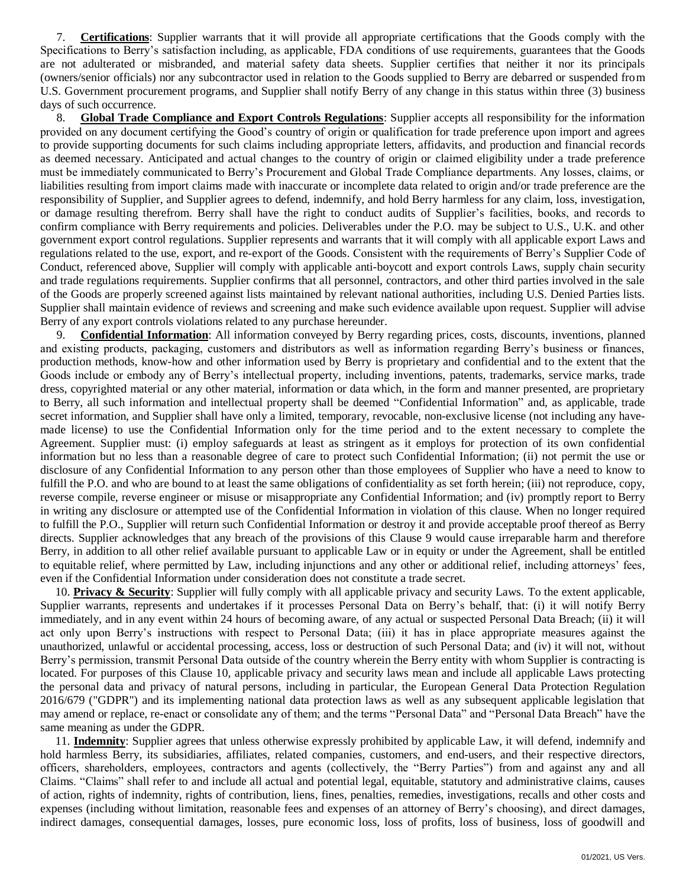7. **Certifications**: Supplier warrants that it will provide all appropriate certifications that the Goods comply with the Specifications to Berry's satisfaction including, as applicable, FDA conditions of use requirements, guarantees that the Goods are not adulterated or misbranded, and material safety data sheets. Supplier certifies that neither it nor its principals (owners/senior officials) nor any subcontractor used in relation to the Goods supplied to Berry are debarred or suspended from U.S. Government procurement programs, and Supplier shall notify Berry of any change in this status within three (3) business days of such occurrence.

8. **Global Trade Compliance and Export Controls Regulations**: Supplier accepts all responsibility for the information provided on any document certifying the Good's country of origin or qualification for trade preference upon import and agrees to provide supporting documents for such claims including appropriate letters, affidavits, and production and financial records as deemed necessary. Anticipated and actual changes to the country of origin or claimed eligibility under a trade preference must be immediately communicated to Berry's Procurement and Global Trade Compliance departments. Any losses, claims, or liabilities resulting from import claims made with inaccurate or incomplete data related to origin and/or trade preference are the responsibility of Supplier, and Supplier agrees to defend, indemnify, and hold Berry harmless for any claim, loss, investigation, or damage resulting therefrom. Berry shall have the right to conduct audits of Supplier's facilities, books, and records to confirm compliance with Berry requirements and policies. Deliverables under the P.O. may be subject to U.S., U.K. and other government export control regulations. Supplier represents and warrants that it will comply with all applicable export Laws and regulations related to the use, export, and re-export of the Goods. Consistent with the requirements of Berry's Supplier Code of Conduct, referenced above, Supplier will comply with applicable anti-boycott and export controls Laws, supply chain security and trade regulations requirements. Supplier confirms that all personnel, contractors, and other third parties involved in the sale of the Goods are properly screened against lists maintained by relevant national authorities, including U.S. Denied Parties lists. Supplier shall maintain evidence of reviews and screening and make such evidence available upon request. Supplier will advise Berry of any export controls violations related to any purchase hereunder.

9. **Confidential Information**: All information conveyed by Berry regarding prices, costs, discounts, inventions, planned and existing products, packaging, customers and distributors as well as information regarding Berry's business or finances, production methods, know-how and other information used by Berry is proprietary and confidential and to the extent that the Goods include or embody any of Berry's intellectual property, including inventions, patents, trademarks, service marks, trade dress, copyrighted material or any other material, information or data which, in the form and manner presented, are proprietary to Berry, all such information and intellectual property shall be deemed "Confidential Information" and, as applicable, trade secret information, and Supplier shall have only a limited, temporary, revocable, non-exclusive license (not including any havemade license) to use the Confidential Information only for the time period and to the extent necessary to complete the Agreement. Supplier must: (i) employ safeguards at least as stringent as it employs for protection of its own confidential information but no less than a reasonable degree of care to protect such Confidential Information; (ii) not permit the use or disclosure of any Confidential Information to any person other than those employees of Supplier who have a need to know to fulfill the P.O. and who are bound to at least the same obligations of confidentiality as set forth herein; (iii) not reproduce, copy, reverse compile, reverse engineer or misuse or misappropriate any Confidential Information; and (iv) promptly report to Berry in writing any disclosure or attempted use of the Confidential Information in violation of this clause. When no longer required to fulfill the P.O., Supplier will return such Confidential Information or destroy it and provide acceptable proof thereof as Berry directs. Supplier acknowledges that any breach of the provisions of this Clause 9 would cause irreparable harm and therefore Berry, in addition to all other relief available pursuant to applicable Law or in equity or under the Agreement, shall be entitled to equitable relief, where permitted by Law, including injunctions and any other or additional relief, including attorneys' fees, even if the Confidential Information under consideration does not constitute a trade secret.

10. **Privacy & Security**: Supplier will fully comply with all applicable privacy and security Laws. To the extent applicable, Supplier warrants, represents and undertakes if it processes Personal Data on Berry's behalf, that: (i) it will notify Berry immediately, and in any event within 24 hours of becoming aware, of any actual or suspected Personal Data Breach; (ii) it will act only upon Berry's instructions with respect to Personal Data; (iii) it has in place appropriate measures against the unauthorized, unlawful or accidental processing, access, loss or destruction of such Personal Data; and (iv) it will not, without Berry's permission, transmit Personal Data outside of the country wherein the Berry entity with whom Supplier is contracting is located. For purposes of this Clause 10, applicable privacy and security laws mean and include all applicable Laws protecting the personal data and privacy of natural persons, including in particular, the European General Data Protection Regulation 2016/679 ("GDPR") and its implementing national data protection laws as well as any subsequent applicable legislation that may amend or replace, re-enact or consolidate any of them; and the terms "Personal Data" and "Personal Data Breach" have the same meaning as under the GDPR.

11. **Indemnity**: Supplier agrees that unless otherwise expressly prohibited by applicable Law, it will defend, indemnify and hold harmless Berry, its subsidiaries, affiliates, related companies, customers, and end-users, and their respective directors, officers, shareholders, employees, contractors and agents (collectively, the "Berry Parties") from and against any and all Claims. "Claims" shall refer to and include all actual and potential legal, equitable, statutory and administrative claims, causes of action, rights of indemnity, rights of contribution, liens, fines, penalties, remedies, investigations, recalls and other costs and expenses (including without limitation, reasonable fees and expenses of an attorney of Berry's choosing), and direct damages, indirect damages, consequential damages, losses, pure economic loss, loss of profits, loss of business, loss of goodwill and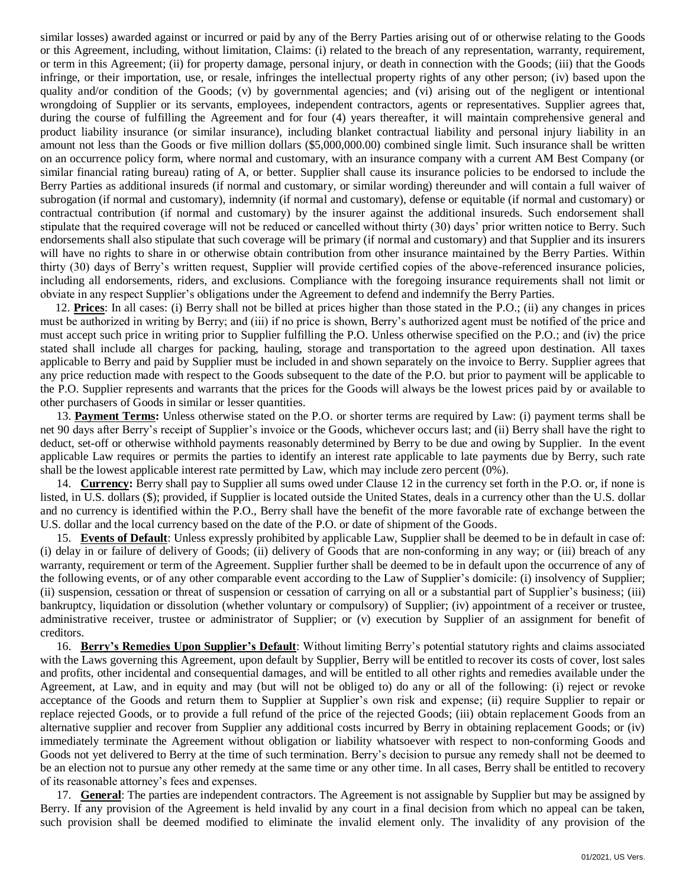similar losses) awarded against or incurred or paid by any of the Berry Parties arising out of or otherwise relating to the Goods or this Agreement, including, without limitation, Claims: (i) related to the breach of any representation, warranty, requirement, or term in this Agreement; (ii) for property damage, personal injury, or death in connection with the Goods; (iii) that the Goods infringe, or their importation, use, or resale, infringes the intellectual property rights of any other person; (iv) based upon the quality and/or condition of the Goods; (v) by governmental agencies; and (vi) arising out of the negligent or intentional wrongdoing of Supplier or its servants, employees, independent contractors, agents or representatives. Supplier agrees that, during the course of fulfilling the Agreement and for four (4) years thereafter, it will maintain comprehensive general and product liability insurance (or similar insurance), including blanket contractual liability and personal injury liability in an amount not less than the Goods or five million dollars (\$5,000,000.00) combined single limit. Such insurance shall be written on an occurrence policy form, where normal and customary, with an insurance company with a current AM Best Company (or similar financial rating bureau) rating of A, or better. Supplier shall cause its insurance policies to be endorsed to include the Berry Parties as additional insureds (if normal and customary, or similar wording) thereunder and will contain a full waiver of subrogation (if normal and customary), indemnity (if normal and customary), defense or equitable (if normal and customary) or contractual contribution (if normal and customary) by the insurer against the additional insureds. Such endorsement shall stipulate that the required coverage will not be reduced or cancelled without thirty (30) days' prior written notice to Berry. Such endorsements shall also stipulate that such coverage will be primary (if normal and customary) and that Supplier and its insurers will have no rights to share in or otherwise obtain contribution from other insurance maintained by the Berry Parties. Within thirty (30) days of Berry's written request, Supplier will provide certified copies of the above-referenced insurance policies, including all endorsements, riders, and exclusions. Compliance with the foregoing insurance requirements shall not limit or obviate in any respect Supplier's obligations under the Agreement to defend and indemnify the Berry Parties.

12. **Prices**: In all cases: (i) Berry shall not be billed at prices higher than those stated in the P.O.; (ii) any changes in prices must be authorized in writing by Berry; and (iii) if no price is shown, Berry's authorized agent must be notified of the price and must accept such price in writing prior to Supplier fulfilling the P.O. Unless otherwise specified on the P.O.; and (iv) the price stated shall include all charges for packing, hauling, storage and transportation to the agreed upon destination. All taxes applicable to Berry and paid by Supplier must be included in and shown separately on the invoice to Berry. Supplier agrees that any price reduction made with respect to the Goods subsequent to the date of the P.O. but prior to payment will be applicable to the P.O. Supplier represents and warrants that the prices for the Goods will always be the lowest prices paid by or available to other purchasers of Goods in similar or lesser quantities.

13. **Payment Terms:** Unless otherwise stated on the P.O. or shorter terms are required by Law: (i) payment terms shall be net 90 days after Berry's receipt of Supplier's invoice or the Goods, whichever occurs last; and (ii) Berry shall have the right to deduct, set-off or otherwise withhold payments reasonably determined by Berry to be due and owing by Supplier. In the event applicable Law requires or permits the parties to identify an interest rate applicable to late payments due by Berry, such rate shall be the lowest applicable interest rate permitted by Law, which may include zero percent (0%).

14. **Currency:** Berry shall pay to Supplier all sums owed under Clause 12 in the currency set forth in the P.O. or, if none is listed, in U.S. dollars (\$); provided, if Supplier is located outside the United States, deals in a currency other than the U.S. dollar and no currency is identified within the P.O., Berry shall have the benefit of the more favorable rate of exchange between the U.S. dollar and the local currency based on the date of the P.O. or date of shipment of the Goods.

15. **Events of Default**: Unless expressly prohibited by applicable Law, Supplier shall be deemed to be in default in case of: (i) delay in or failure of delivery of Goods; (ii) delivery of Goods that are non-conforming in any way; or (iii) breach of any warranty, requirement or term of the Agreement. Supplier further shall be deemed to be in default upon the occurrence of any of the following events, or of any other comparable event according to the Law of Supplier's domicile: (i) insolvency of Supplier; (ii) suspension, cessation or threat of suspension or cessation of carrying on all or a substantial part of Supplier's business; (iii) bankruptcy, liquidation or dissolution (whether voluntary or compulsory) of Supplier; (iv) appointment of a receiver or trustee, administrative receiver, trustee or administrator of Supplier; or (v) execution by Supplier of an assignment for benefit of creditors.

16. **Berry's Remedies Upon Supplier's Default**: Without limiting Berry's potential statutory rights and claims associated with the Laws governing this Agreement, upon default by Supplier, Berry will be entitled to recover its costs of cover, lost sales and profits, other incidental and consequential damages, and will be entitled to all other rights and remedies available under the Agreement, at Law, and in equity and may (but will not be obliged to) do any or all of the following: (i) reject or revoke acceptance of the Goods and return them to Supplier at Supplier's own risk and expense; (ii) require Supplier to repair or replace rejected Goods, or to provide a full refund of the price of the rejected Goods; (iii) obtain replacement Goods from an alternative supplier and recover from Supplier any additional costs incurred by Berry in obtaining replacement Goods; or (iv) immediately terminate the Agreement without obligation or liability whatsoever with respect to non-conforming Goods and Goods not yet delivered to Berry at the time of such termination. Berry's decision to pursue any remedy shall not be deemed to be an election not to pursue any other remedy at the same time or any other time. In all cases, Berry shall be entitled to recovery of its reasonable attorney's fees and expenses.

17. **General**: The parties are independent contractors. The Agreement is not assignable by Supplier but may be assigned by Berry. If any provision of the Agreement is held invalid by any court in a final decision from which no appeal can be taken, such provision shall be deemed modified to eliminate the invalid element only. The invalidity of any provision of the